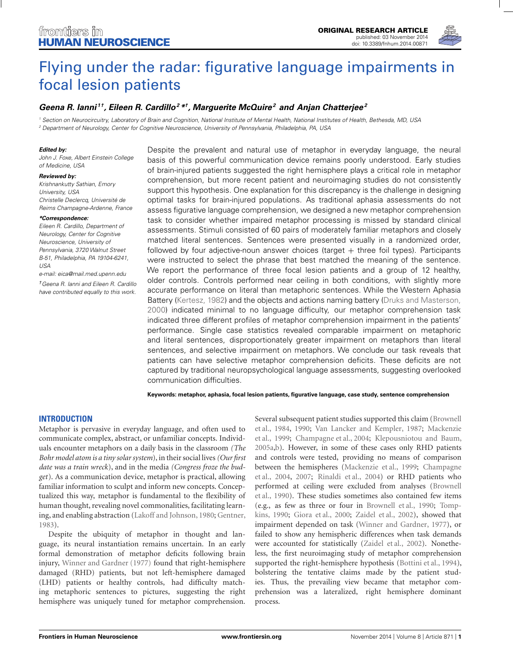

# [Flying under the radar: figurative language impairments in](http://www.frontiersin.org/Journal/10.3389/fnhum.2014.00871/abstract) focal lesion patients

# *[Geena R. Ianni](http://community.frontiersin.org/people/u/132188) 1 †, [Eileen R. Cardillo2](http://community.frontiersin.org/people/u/115366) \*†, [Marguerite McQuire2](http://community.frontiersin.org/people/u/139115) and [Anjan Chatterjee2](http://community.frontiersin.org/people/u/7726)*

<sup>1</sup> Section on Neurocircuitry, Laboratory of Brain and Cognition, National Institute of Mental Health, National Institutes of Health, Bethesda, MD, USA <sup>2</sup> Department of Neurology, Center for Cognitive Neuroscience, University of Pennsylvania, Philadelphia, PA, USA

#### *Edited by:*

John J. Foxe, Albert Einstein College of Medicine, USA

#### *Reviewed by:*

Krishnankutty Sathian, Emory University, USA Christelle Declerca, Université de Reims Champagne-Ardenne, France

#### *\*Correspondence:*

Eileen R. Cardillo, Department of Neurology, Center for Cognitive Neuroscience, University of Pennsylvania, 3720 Walnut Street B-51, Philadelphia, PA 19104-6241, USA

e-mail: [eica@mail.med.upenn.edu](mailto:eica@mail.med.upenn.edu)

†Geena R. Ianni and Eileen R. Cardillo have contributed equally to this work. Despite the prevalent and natural use of metaphor in everyday language, the neural basis of this powerful communication device remains poorly understood. Early studies of brain-injured patients suggested the right hemisphere plays a critical role in metaphor comprehension, but more recent patient and neuroimaging studies do not consistently support this hypothesis. One explanation for this discrepancy is the challenge in designing optimal tasks for brain-injured populations. As traditional aphasia assessments do not assess figurative language comprehension, we designed a new metaphor comprehension task to consider whether impaired metaphor processing is missed by standard clinical assessments. Stimuli consisted of 60 pairs of moderately familiar metaphors and closely matched literal sentences. Sentences were presented visually in a randomized order, followed by four adjective-noun answer choices (target  $+$  three foil types). Participants were instructed to select the phrase that best matched the meaning of the sentence. We report the performance of three focal lesion patients and a group of 12 healthy, older controls. Controls performed near ceiling in both conditions, with slightly more accurate performance on literal than metaphoric sentences. While the Western Aphasia Battery [\(Kertesz, 1982](#page-9-0)) and the objects and actions naming battery [\(Druks and Masterson,](#page-9-0) [2000](#page-9-0)) indicated minimal to no language difficulty, our metaphor comprehension task indicated three different profiles of metaphor comprehension impairment in the patients' performance. Single case statistics revealed comparable impairment on metaphoric and literal sentences, disproportionately greater impairment on metaphors than literal sentences, and selective impairment on metaphors. We conclude our task reveals that patients can have selective metaphor comprehension deficits. These deficits are not captured by traditional neuropsychological language assessments, suggesting overlooked communication difficulties.

**Keywords: metaphor, aphasia, focal lesion patients, figurative language, case study, sentence comprehension**

# **INTRODUCTION**

Metaphor is pervasive in everyday language, and often used to communicate complex, abstract, or unfamiliar concepts. Individuals encounter metaphors on a daily basis in the classroom *(The Bohr model atom is a tiny solar system*), in their social lives*(Our first date was a train wreck*), and in the media *(Congress froze the budget*). As a communication device, metaphor is practical, allowing familiar information to sculpt and inform new concepts. Conceptualized this way, metaphor is fundamental to the flexibility of human thought, revealing novel commonalities, facilitating learning, and enabling abstraction [\(Lakoff and Johnson, 1980;](#page-9-0) [Gentner](#page-9-0), [1983\)](#page-9-0).

Despite the ubiquity of metaphor in thought and language, its neural instantiation remains uncertain. In an early formal demonstration of metaphor deficits following brain injury, [Winner and Gardner](#page-10-0) [\(1977](#page-10-0)) found that right-hemisphere damaged (RHD) patients, but not left-hemisphere damaged (LHD) patients or healthy controls, had difficulty matching metaphoric sentences to pictures, suggesting the right hemisphere was uniquely tuned for metaphor comprehension. Seve[ral](#page-8-0) [subsequent](#page-8-0) [patient](#page-8-0) [studies](#page-8-0) [supported](#page-8-0) [this](#page-8-0) [claim](#page-8-0) [\(](#page-8-0)Brownell et al., [1984,](#page-8-0) [1990;](#page-8-0) [Van Lancker and Kempler, 1987;](#page-10-0) Mackenzie et al., [1999;](#page-9-0) [Champagne et al.](#page-9-0), [2004;](#page-9-0) [Klepousniotou and Baum,](#page-9-0) [2005a,b](#page-9-0)). However, in some of these cases only RHD patients and controls were tested, providing no means of comparison bet[ween the hemispheres \(Mackenzie et al., 1999;](#page-9-0) Champagne et al., [2004](#page-9-0), [2007](#page-9-0); [Rinaldi et al.](#page-9-0), [2004\)](#page-9-0) or RHD patients who perf[ormed at ceiling were excluded from analyses \(](#page-8-0)Brownell et al., [1990](#page-8-0)). These studies sometimes also contained few items (e.g[.,](#page-10-0) [as](#page-10-0) [few](#page-10-0) [as](#page-10-0) [three](#page-10-0) [or](#page-10-0) [four](#page-10-0) [in](#page-10-0) [Brownell et al.](#page-8-0), [1990;](#page-8-0) Tompkins, [1990](#page-10-0); [Giora et al., 2000;](#page-9-0) [Zaidel et al.](#page-10-0), [2002](#page-10-0)), showed that impairment depended on task [\(Winner and Gardner, 1977](#page-10-0)), or failed to show any hemispheric differences when task demands were accounted for statistically [\(Zaidel et al.](#page-10-0), [2002\)](#page-10-0). Nonetheless, the first neuroimaging study of metaphor comprehension supported the right-hemisphere hypothesis [\(Bottini et al.](#page-8-0), [1994](#page-8-0)), bolstering the tentative claims made by the patient studies. Thus, the prevailing view became that metaphor comprehension was a lateralized, right hemisphere dominant process.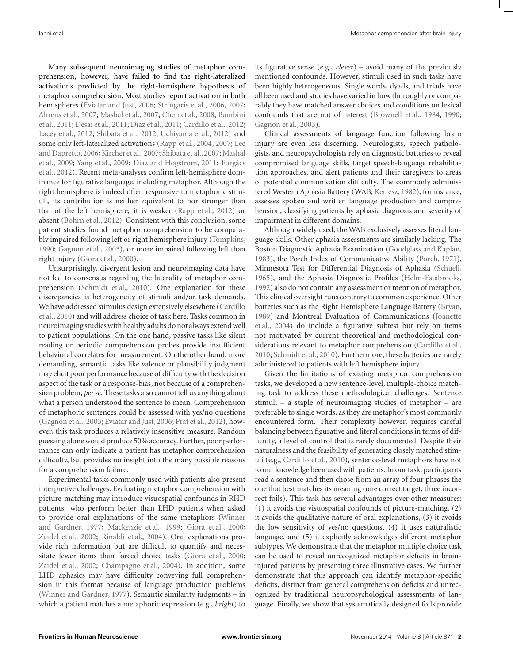Many subsequent neuroimaging studies of metaphor comprehension, however, have failed to find the right-lateralized activations predicted by the right-hemisphere hypothesis of metaphor comprehension. Most studies report activation in both hemispheres [\(Eviatar and Just](#page-9-0), [2006](#page-9-0); [Stringaris et al.](#page-10-0), [2006,](#page-10-0) [2007;](#page-10-0) [Ahrens et al., 2007](#page-8-0); [Mashal et al., 2007](#page-9-0)[;](#page-8-0) [Chen et al.](#page-9-0), [2008;](#page-9-0) Bambini et al., [2011;](#page-8-0) [Desai et al., 2011;](#page-9-0) [Diaz et al., 2011;](#page-9-0) [Cardillo et al., 2012;](#page-9-0) [Lacey et al., 2012](#page-9-0); [Shibata et al., 2012](#page-10-0); [Uchiyama et al., 2012\)](#page-10-0) and some only le[ft-lateralized](#page-9-0) [activations](#page-9-0) [\(Rapp et al., 2004,](#page-9-0) [2007](#page-9-0); Lee and Dapretto, 2006; Kircher et al., 2007; [Shibata et al.](#page-9-0), [2007;](#page-9-0) Mashal et al., [2009;](#page-9-0) [Yang et al.](#page-10-0), [2009;](#page-10-0) [Diaz and Hogstrom, 2011;](#page-9-0) Forgács et al., [2012](#page-9-0)). Recent meta-analyses confirm left-hemisphere dominance for figurative language, including metaphor. Although the right hemisphere is indeed often responsive to metaphoric stimuli, its contribution is neither equivalent to nor stronger than that of the left hemisphere; it is weaker [\(Rapp et al.](#page-9-0), [2012](#page-9-0)) or absent [\(Bohrn et al., 2012](#page-8-0)). Consistent with this conclusion, some patient studies found metaphor comprehension to be comparably impaired following left or right hemisphere injury [\(Tompkins,](#page-10-0) [1990;](#page-10-0) [Gagnon et al.](#page-9-0), [2003](#page-9-0)), or more impaired following left than right injury [\(Giora et al.](#page-9-0), [2000](#page-9-0)).

Unsurprisingly, divergent lesion and neuroimaging data have not led to consensus regarding the laterality of metaphor comprehension [\(Schmidt et al., 2010\)](#page-9-0). One explanation for these discrepancies is heterogeneity of stimuli and/or task demands. We [have addressed stimulus design extensively elsewhere \(](#page-8-0)Cardillo et al., [2010\)](#page-8-0) and will address choice of task here. Tasks common in neuroimaging studies with healthy adults do not always extend well to patient populations. On the one hand, passive tasks like silent reading or periodic comprehension probes provide insufficient behavioral correlates for measurement. On the other hand, more demanding, semantic tasks like valence or plausibility judgment may elicit poor performance because of difficulty with the decision aspect of the task or a response-bias, not because of a comprehension problem, *per se*. These tasks also cannot tell us anything about what a person understood the sentence to mean. Comprehension of metaphoric sentences could be assessed with yes/no questions [\(Gagnon et al.](#page-9-0), [2003](#page-9-0); [Eviatar and Just, 2006](#page-9-0); [Prat et al.](#page-9-0), [2012\)](#page-9-0), however, this task produces a relatively insensitive measure. Random guessing alone would produce 50% accuracy. Further, poor performance can only indicate a patient has metaphor comprehension difficulty, but provides no insight into the many possible reasons for a comprehension failure.

Experimental tasks commonly used with patients also present interpretive challenges. Evaluating metaphor comprehension with picture-matching may introduce visuospatial confounds in RHD patients, who perform better than LHD patients when asked to provide o[ral explanations of the same metaphors \(](#page-10-0)Winner and Gardner, [1977](#page-10-0); [Mackenzie et al., 1999](#page-9-0); [Giora et al.](#page-9-0), [2000;](#page-9-0) [Zaidel et al., 2002;](#page-10-0) [Rinaldi et al., 2004\)](#page-9-0). Oral explanations provide rich information but are difficult to quantify and necessitate fewer items than forced choice tasks [\(Giora et al.](#page-9-0), [2000;](#page-9-0) [Zaidel et al., 2002;](#page-10-0) [Champagne et al.](#page-9-0), [2004](#page-9-0)). In addition, some LHD aphasics may have difficulty conveying full comprehension in this format because of language production problems [\(Winner and Gardner, 1977](#page-10-0)). Semantic similarity judgments – in which a patient matches a metaphoric expression (e.g., *bright*) to

its figurative sense (e.g., *clever*) – avoid many of the previously mentioned confounds. However, stimuli used in such tasks have been highly heterogeneous. Single words, dyads, and triads have all been used and studies have varied in how thoroughly or comparably they have matched answer choices and conditions on lexical confounds that are not of interest [\(Brownell et al., 1984,](#page-8-0) [1990;](#page-8-0) [Gagnon et al.](#page-9-0), [2003\)](#page-9-0).

Clinical assessments of language function following brain injury are even less discerning. Neurologists, speech pathologists, and neuropsychologists rely on diagnostic batteries to reveal compromised language skills, target speech-language rehabilitation approaches, and alert patients and their caregivers to areas of potential communication difficulty. The commonly administered Western Aphasia Battery (WAB; [Kertesz, 1982](#page-9-0)), for instance, assesses spoken and written language production and comprehension, classifying patients by aphasia diagnosis and severity of impairment in different domains.

Although widely used, the WAB exclusively assesses literal language skills. Other aphasia assessments are similarly lacking. The Boston Diagnostic Aphasia Examination [\(Goodglass and Kaplan,](#page-9-0) [1983](#page-9-0)), the Porch Index of Communicative Ability [\(Porch, 1971](#page-9-0)), Minnesota Test for Differential Diagnosis of Aphasia [\(Schuell,](#page-9-0) [1965](#page-9-0)), and the Aphasia Diagnostic Profiles [\(Helm-Estabrooks,](#page-9-0) [1992](#page-9-0)) also do not contain any assessment or mention of metaphor. This clinical oversight runs contrary to common experience. Other batteries such as the Right Hemisphere Language Battery [\(Bryan,](#page-8-0) [1989](#page-8-0)[\) and Montreal Evaluation of Communications \(](#page-9-0)Joanette et al., [2004](#page-9-0)) do include a figurative subtest but rely on items not motivated by current theoretical and methodological considerations relevant to metaphor comprehension [\(Cardillo et al.,](#page-8-0) [2010](#page-8-0); [Schmidt et al., 2010\)](#page-9-0). Furthermore, these batteries are rarely administered to patients with left hemisphere injury.

Given the limitations of existing metaphor comprehension tasks, we developed a new sentence-level, multiple-choice matching task to address these methodological challenges. Sentence stimuli – a staple of neuroimaging studies of metaphor – are preferable to single words, as they are metaphor's most commonly encountered form. Their complexity however, requires careful balancing between figurative and literal conditions in terms of difficulty, a level of control that is rarely documented. Despite their naturalness and the feasibility of generating closely matched stimuli (e.g., [Cardillo et al., 2010\)](#page-8-0), sentence-level metaphors have not to our knowledge been used with patients. In our task, participants read a sentence and then chose from an array of four phrases the one that best matches its meaning (one correct target, three incorrect foils). This task has several advantages over other measures: (1) it avoids the visuospatial confounds of picture-matching, (2) it avoids the qualitative nature of oral explanations, (3) it avoids the low sensitivity of yes/no questions, (4) it uses naturalistic language, and (5) it explicitly acknowledges different metaphor subtypes. We demonstrate that the metaphor multiple choice task can be used to reveal unrecognized metaphor deficits in braininjured patients by presenting three illustrative cases. We further demonstrate that this approach can identify metaphor-specific deficits, distinct from general comprehension deficits and unrecognized by traditional neuropsychological assessments of language. Finally, we show that systematically designed foils provide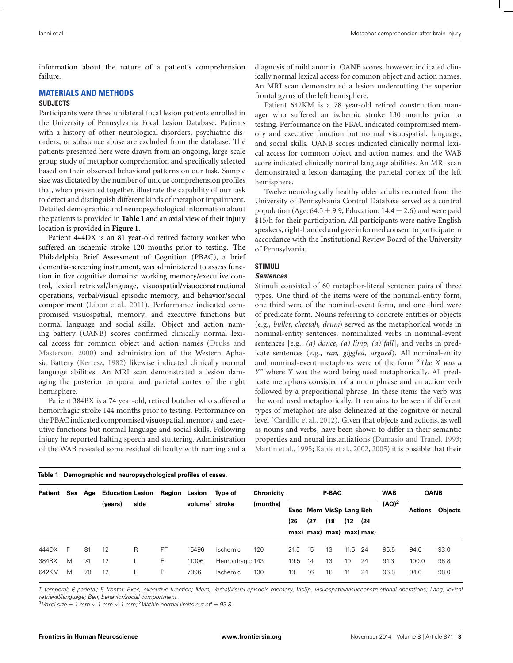information about the nature of a patient's comprehension failure.

# **MATERIALS AND METHODS**

## **SUBJECTS**

Participants were three unilateral focal lesion patients enrolled in the University of Pennsylvania Focal Lesion Database. Patients with a history of other neurological disorders, psychiatric disorders, or substance abuse are excluded from the database. The patients presented here were drawn from an ongoing, large-scale group study of metaphor comprehension and specifically selected based on their observed behavioral patterns on our task. Sample size was dictated by the number of unique comprehension profiles that, when presented together, illustrate the capability of our task to detect and distinguish different kinds of metaphor impairment. Detailed demographic and neuropsychological information about the patients is provided in **Table 1** and an axial view of their injury location is provided in **[Figure 1](#page-3-0)**.

Patient 444DX is an 81 year-old retired factory worker who suffered an ischemic stroke 120 months prior to testing. The Philadelphia Brief Assessment of Cognition (PBAC), a brief dementia-screening instrument, was administered to assess function in five cognitive domains: working memory/executive control, lexical retrieval/language, visuospatial/visuoconstructional operations, verbal/visual episodic memory, and behavior/social comportment [\(Libon et al.](#page-9-0), [2011\)](#page-9-0). Performance indicated compromised visuospatial, memory, and executive functions but normal language and social skills. Object and action naming battery (OANB) scores confirmed clinically normal lexical access [for common object and action names \(](#page-9-0)Druks and Masterson, [2000](#page-9-0)) and administration of the Western Aphasia Battery [\(Kertesz, 1982\)](#page-9-0) likewise indicated clinically normal language abilities. An MRI scan demonstrated a lesion damaging the posterior temporal and parietal cortex of the right hemisphere.

Patient 384BX is a 74 year-old, retired butcher who suffered a hemorrhagic stroke 144 months prior to testing. Performance on the PBAC indicated compromised visuospatial, memory, and executive functions but normal language and social skills. Following injury he reported halting speech and stuttering. Administration of the WAB revealed some residual difficulty with naming and a diagnosis of mild anomia. OANB scores, however, indicated clinically normal lexical access for common object and action names. An MRI scan demonstrated a lesion undercutting the superior frontal gyrus of the left hemisphere.

Patient 642KM is a 78 year-old retired construction manager who suffered an ischemic stroke 130 months prior to testing. Performance on the PBAC indicated compromised memory and executive function but normal visuospatial, language, and social skills. OANB scores indicated clinically normal lexical access for common object and action names, and the WAB score indicated clinically normal language abilities. An MRI scan demonstrated a lesion damaging the parietal cortex of the left hemisphere.

Twelve neurologically healthy older adults recruited from the University of Pennsylvania Control Database served as a control population (Age:  $64.3 \pm 9.9$ , Education:  $14.4 \pm 2.6$ ) and were paid \$15/h for their participation. All participants were native English speakers, right-handed and gave informed consent to participate in accordance with the Institutional Review Board of the University of Pennsylvania.

# **STIMULI**

# *Sentences*

Stimuli consisted of 60 metaphor-literal sentence pairs of three types. One third of the items were of the nominal-entity form, one third were of the nominal-event form, and one third were of predicate form. Nouns referring to concrete entities or objects (e.g., *bullet*, *cheetah, drum*) served as the metaphorical words in nominal-entity sentences, nominalized verbs in nominal-event sentences [e.g., *(a) dance, (a) limp, (a) fall*], and verbs in predicate sentences (e.g., *ran, giggled, argued*). All nominal-entity and nominal-event metaphors were of the form "*The X was a Y*" where *Y* was the word being used metaphorically. All predicate metaphors consisted of a noun phrase and an action verb followed by a prepositional phrase. In these items the verb was the word used metaphorically. It remains to be seen if different types of metaphor are also delineated at the cognitive or neural level [\(Cardillo et al.](#page-9-0), [2012\)](#page-9-0). Given that objects and actions, as well as nouns and verbs, have been shown to differ in their semantic properties and neural instantiations [\(Damasio and Tranel, 1993;](#page-9-0) [Martin et al.](#page-9-0), [1995;](#page-9-0) [Kable et al., 2002,](#page-9-0) [2005](#page-9-0)) it is possible that their

|         |   |    | Table 1   Demographic and neuropsychological profiles of cases. |      |                      |                            |                 |                   |      |      |                          |         |     |            |             |         |
|---------|---|----|-----------------------------------------------------------------|------|----------------------|----------------------------|-----------------|-------------------|------|------|--------------------------|---------|-----|------------|-------------|---------|
| Patient |   |    | Sex Age Education Lesion                                        |      | <b>Region Lesion</b> |                            | Type of         | <b>Chronicity</b> |      |      | <b>P-BAC</b>             |         |     | <b>WAB</b> | <b>OANB</b> |         |
|         |   |    | (years)                                                         | side |                      | volume <sup>1</sup> stroke |                 | (months)          |      |      | Exec Mem VisSp Lang Beh  |         |     | $(AQ)^2$   | Actions     | Objects |
|         |   |    |                                                                 |      |                      |                            |                 |                   | (26  | (27) | (18                      | (12)    | (24 |            |             |         |
|         |   |    |                                                                 |      |                      |                            |                 |                   |      |      | max) max) max) max) max) |         |     |            |             |         |
| 444DX   | F | 81 | 12                                                              | R    | PT                   | 15496                      | <i>Ischemic</i> | 120               | 21.5 | 15   | 13                       | 11.5 24 |     | 95.5       | 94.0        | 93.0    |
| 384BX   | M | 74 | 12                                                              |      | F.                   | 11306                      | Hemorrhagic 143 |                   | 19.5 | 14   | 13                       | 10      | 24  | 91.3       | 100.0       | 98.8    |
| 642KM   | M | 78 | 12                                                              |      | P                    | 7996                       | Ischemic        | 130               | 19   | 16   | 18                       | 11      | 24  | 96.8       | 94.0        | 98.0    |

T, temporal; P, parietal; F, frontal; Exec, executive function; Mem, Verbal/visual episodic memory; VisSp, visuospatial/visuoconstructional operations; Lang, lexical retrieval/language; Beh, behavior/social comportment.

 $1$ Voxel size = 1 mm  $\times$  1 mm  $\times$  1 mm; <sup>2</sup>Within normal limits cut-off = 93.8.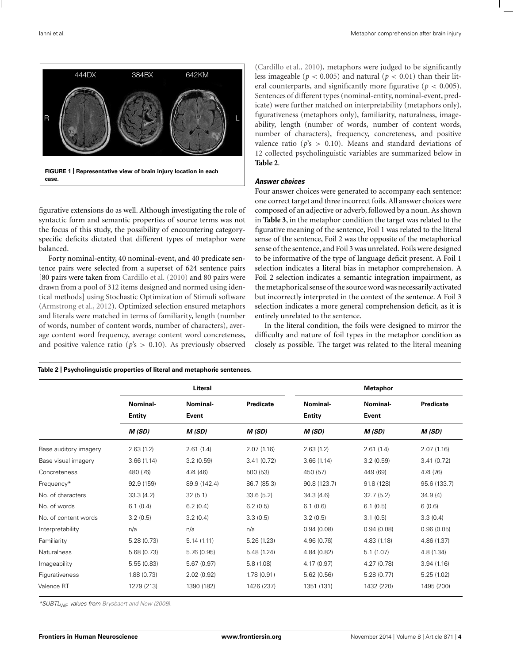<span id="page-3-0"></span>

figurative extensions do as well. Although investigating the role of syntactic form and semantic properties of source terms was not the focus of this study, the possibility of encountering categoryspecific deficits dictated that different types of metaphor were balanced.

Forty nominal-entity, 40 nominal-event, and 40 predicate sentence pairs were selected from a superset of 624 sentence pairs [80 pairs were taken from [Cardillo et al.](#page-8-0) [\(2010\)](#page-8-0) and 80 pairs were drawn from a pool of 312 items designed and normed using identical methods] using Stochastic Optimization of Stimuli software [\(Armstrong et al., 2012](#page-8-0)). Optimized selection ensured metaphors and literals were matched in terms of familiarity, length (number of words, number of content words, number of characters), average content word frequency, average content word concreteness, and positive valence ratio ( $p$ 's  $>$  0.10). As previously observed

**Table 2 | Psycholinguistic properties of literal and metaphoric sentences.**

[\(Cardillo et al., 2010\)](#page-8-0), metaphors were judged to be significantly less imageable ( $p < 0.005$ ) and natural ( $p < 0.01$ ) than their literal counterparts, and significantly more figurative ( $p < 0.005$ ). Sentences of different types (nominal-entity, nominal-event, predicate) were further matched on interpretability (metaphors only), figurativeness (metaphors only), familiarity, naturalness, imageability, length (number of words, number of content words, number of characters), frequency, concreteness, and positive valence ratio ( $p$ 's  $>$  0.10). Means and standard deviations of 12 collected psycholinguistic variables are summarized below in **Table 2**.

## *Answer choices*

Four answer choices were generated to accompany each sentence: one correct target and three incorrect foils. All answer choices were composed of an adjective or adverb, followed by a noun. As shown in **[Table 3](#page-4-0)**, in the metaphor condition the target was related to the figurative meaning of the sentence, Foil 1 was related to the literal sense of the sentence, Foil 2 was the opposite of the metaphorical sense of the sentence, and Foil 3 was unrelated. Foils were designed to be informative of the type of language deficit present. A Foil 1 selection indicates a literal bias in metaphor comprehension. A Foil 2 selection indicates a semantic integration impairment, as the metaphorical sense of the source word was necessarily activated but incorrectly interpreted in the context of the sentence. A Foil 3 selection indicates a more general comprehension deficit, as it is entirely unrelated to the sentence.

In the literal condition, the foils were designed to mirror the difficulty and nature of foil types in the metaphor condition as closely as possible. The target was related to the literal meaning

|                       |               | Literal      |                  |               | <b>Metaphor</b> |                  |
|-----------------------|---------------|--------------|------------------|---------------|-----------------|------------------|
|                       | Nominal-      | Nominal-     | <b>Predicate</b> | Nominal-      | Nominal-        | <b>Predicate</b> |
|                       | <b>Entity</b> | Event        |                  | <b>Entity</b> | Event           |                  |
|                       | M(SD)         | M(SD)        | M(SD)            | M(SD)         | M(SD)           | M(SD)            |
| Base auditory imagery | 2.63(1.2)     | 2.61(1.4)    | 2.07(1.16)       | 2.63(1.2)     | 2.61(1.4)       | 2.07(1.16)       |
| Base visual imagery   | 3.66(1.14)    | 3.2(0.59)    | 3.41(0.72)       | 3.66(1.14)    | 3.2(0.59)       | 3.41(0.72)       |
| Concreteness          | 480 (76)      | 474 (46)     | 500 (53)         | 450 (57)      | 449 (69)        | 474 (76)         |
| Frequency*            | 92.9 (159)    | 89.9 (142.4) | 86.7 (85.3)      | 90.8 (123.7)  | 91.8 (128)      | 95.6 (133.7)     |
| No. of characters     | 33.3(4.2)     | 32(5.1)      | 33.6(5.2)        | 34.3(4.6)     | 32.7(5.2)       | 34.9(4)          |
| No. of words          | 6.1(0.4)      | 6.2(0.4)     | 6.2(0.5)         | 6.1(0.6)      | 6.1(0.5)        | 6(0.6)           |
| No. of content words  | 3.2(0.5)      | 3.2(0.4)     | 3.3(0.5)         | 3.2(0.5)      | 3.1(0.5)        | 3.3(0.4)         |
| Interpretability      | n/a           | n/a          | n/a              | 0.94(0.08)    | 0.94(0.08)      | 0.96(0.05)       |
| Familiarity           | 5.28(0.73)    | 5.14(1.11)   | 5.26(1.23)       | 4.96 (0.76)   | 4.83 (1.18)     | 4.86 (1.37)      |
| <b>Naturalness</b>    | 5.68(0.73)    | 5.76(0.95)   | 5.48(1.24)       | 4.84(0.82)    | 5.1(1.07)       | 4.8(1.34)        |
| Imageability          | 5.55(0.83)    | 5.67(0.97)   | 5.8(1.08)        | 4.17(0.97)    | 4.27(0.78)      | 3.94(1.16)       |
| Figurativeness        | 1.88(0.73)    | 2.02(0.92)   | 1.78(0.91)       | 5.62(0.56)    | 5.28(0.77)      | 5.25(1.02)       |
| Valence RT            | 1279 (213)    | 1390 (182)   | 1426 (237)       | 1351 (131)    | 1432 (220)      | 1495 (200)       |

\*SUBTL<sub>WF</sub> values from [Brysbaert and New \(2009](#page-8-0)).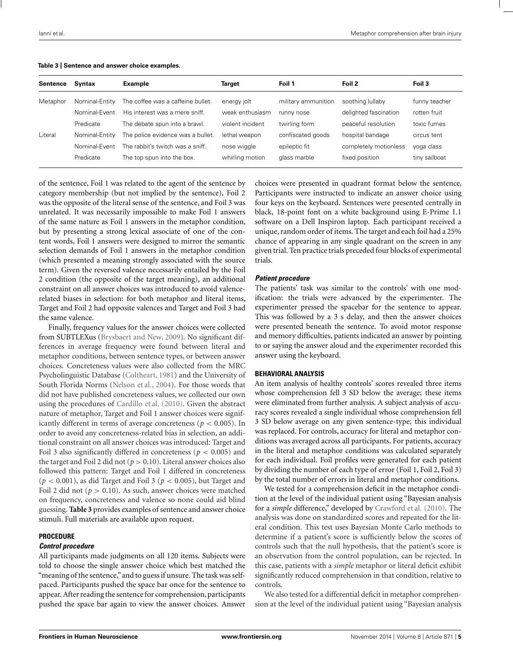| Sentence | Syntax         | Example                           | Target           | Foil 1              | Foil 2                | Foil 3        |
|----------|----------------|-----------------------------------|------------------|---------------------|-----------------------|---------------|
| Metaphor | Nominal-Entity | The coffee was a caffeine bullet. | energy jolt      | military ammunition | soothing lullaby      | funny teacher |
|          | Nominal-Event  | His interest was a mere sniff.    | weak enthusiasm  | runny nose          | delighted fascination | rotten fruit  |
|          | Predicate      | The debate spun into a brawl.     | violent incident | twirling form       | peaceful resolution   | toxic fumes   |
| Literal  | Nominal-Entity | The police evidence was a bullet. | lethal weapon    | confiscated goods   | hospital bandage      | circus tent   |
|          | Nominal-Event  | The rabbit's twitch was a sniff.  | nose wiggle      | epileptic fit       | completely motionless | yoga class    |
|          | Predicate      | The top spun into the box.        | whirling motion  | glass marble        | fixed position        | tiny sailboat |
|          |                |                                   |                  |                     |                       |               |

#### <span id="page-4-0"></span>**Table 3 | Sentence and answer choice examples.**

of the sentence, Foil 1 was related to the agent of the sentence by category membership (but not implied by the sentence), Foil 2 was the opposite of the literal sense of the sentence, and Foil 3 was unrelated. It was necessarily impossible to make Foil 1 answers of the same nature as Foil 1 answers in the metaphor condition, but by presenting a strong lexical associate of one of the content words, Foil 1 answers were designed to mirror the semantic selection demands of Foil 1 answers in the metaphor condition (which presented a meaning strongly associated with the source term). Given the reversed valence necessarily entailed by the Foil 2 condition (the opposite of the target meaning), an additional constraint on all answer choices was introduced to avoid valencerelated biases in selection: for both metaphor and literal items, Target and Foil 2 had opposite valences and Target and Foil 3 had the same valence.

Finally, frequency values for the answer choices were collected from SUBTLEXus [\(Brysbaert and New, 2009](#page-8-0)). No significant differences in average frequency were found between literal and metaphor conditions, between sentence types, or between answer choices. Concreteness values were also collected from the MRC Psycholinguistic Database [\(Coltheart, 1981\)](#page-9-0) and the University of South Florida Norms [\(Nelson et al.](#page-9-0), [2004](#page-9-0)). For those words that did not have published concreteness values, we collected our own using the procedures of [Cardillo et al.](#page-8-0) [\(2010\)](#page-8-0). Given the abstract nature of metaphor, Target and Foil 1 answer choices were significantly different in terms of average concreteness (*p* < 0.005). In order to avoid any concreteness-related bias in selection, an additional constraint on all answer choices was introduced: Target and Foil 3 also significantly differed in concreteness ( $p < 0.005$ ) and the target and Foil 2 did not ( $p > 0.10$ ). Literal answer choices also followed this pattern: Target and Foil 1 differed in concreteness (*p* < 0.001), as did Target and Foil 3 (*p* < 0.005), but Target and Foil 2 did not ( $p > 0.10$ ). As such, answer choices were matched on frequency, concreteness and valence so none could aid blind guessing. **Table 3** provides examples of sentence and answer choice stimuli. Full materials are available upon request.

#### **PROCEDURE**

#### *Control procedure*

All participants made judgments on all 120 items. Subjects were told to choose the single answer choice which best matched the "meaning of the sentence," and to guess if unsure. The task was selfpaced. Participants pushed the space bar once for the sentence to appear. After reading the sentence for comprehension, participants pushed the space bar again to view the answer choices. Answer choices were presented in quadrant format below the sentence, Participants were instructed to indicate an answer choice using four keys on the keyboard. Sentences were presented centrally in black, 18-point font on a white background using E-Prime 1.1 software on a Dell Inspiron laptop. Each participant received a unique, random order of items. The target and each foil had a 25% chance of appearing in any single quadrant on the screen in any given trial. Ten practice trials preceded four blocks of experimental trials.

#### *Patient procedure*

The patients' task was similar to the controls' with one modification: the trials were advanced by the experimenter. The experimenter pressed the spacebar for the sentence to appear. This was followed by a 3 s delay, and then the answer choices were presented beneath the sentence. To avoid motor response and memory difficulties, patients indicated an answer by pointing to or saying the answer aloud and the experimenter recorded this answer using the keyboard.

#### **BEHAVIORAL ANALYSIS**

An item analysis of healthy controls' scores revealed three items whose comprehension fell 3 SD below the average; these items were eliminated from further analysis. A subject analysis of accuracy scores revealed a single individual whose comprehension fell 3 SD below average on any given sentence-type; this individual was replaced. For controls, accuracy for literal and metaphor conditions was averaged across all participants. For patients, accuracy in the literal and metaphor conditions was calculated separately for each individual. Foil profiles were generated for each patient by dividing the number of each type of error (Foil 1, Foil 2, Foil 3) by the total number of errors in literal and metaphor conditions.

We tested for a comprehension deficit in the metaphor condition at the level of the individual patient using "Bayesian analysis for a *simple* difference," developed by [Crawford et al.](#page-9-0) [\(2010\)](#page-9-0). The analysis was done on standardized scores and repeated for the literal condition. This test uses Bayesian Monte Carlo methods to determine if a patient's score is sufficiently below the scores of controls such that the null hypothesis, that the patient's score is an observation from the control population, can be rejected. In this case, patients with a *simple* metaphor or literal deficit exhibit significantly reduced comprehension in that condition, relative to controls.

We also tested for a differential deficit in metaphor comprehension at the level of the individual patient using "Bayesian analysis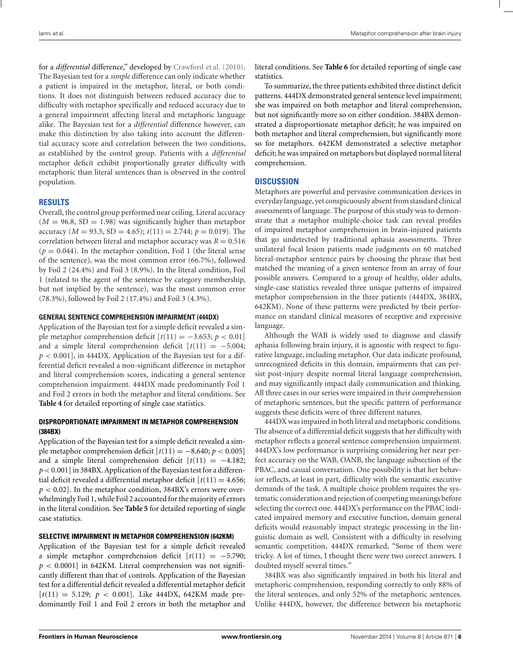for a *differential* difference," developed by [Crawford et al.](#page-9-0) [\(2010](#page-9-0)). The Bayesian test for a *simple* difference can only indicate whether a patient is impaired in the metaphor, literal, or both conditions. It does not distinguish between reduced accuracy due to difficulty with metaphor specifically and reduced accuracy due to a general impairment affecting literal and metaphoric language alike. The Bayesian test for a *differential* difference however, can make this distinction by also taking into account the differential accuracy score and correlation between the two conditions, as established by the control group. Patients with a *differential* metaphor deficit exhibit proportionally greater difficulty with metaphoric than literal sentences than is observed in the control population.

# **RESULTS**

Overall, the control group performed near ceiling. Literal accuracy  $(M = 96.8, SD = 1.98)$  was significantly higher than metaphor accuracy ( $M = 93.5$ ,  $SD = 4.65$ );  $t(11) = 2.744$ ;  $p = 0.019$ ). The correlation between literal and metaphor accuracy was  $R = 0.516$  $(p = 0.044)$ . In the metaphor condition, Foil 1 (the literal sense of the sentence), was the most common error (66.7%), followed by Foil 2 (24.4%) and Foil 3 (8.9%). In the literal condition, Foil 1 (related to the agent of the sentence by category membership, but not implied by the sentence), was the most common error (78.3%), followed by Foil 2 (17.4%) and Foil 3 (4.3%).

## **GENERAL SENTENCE COMPREHENSION IMPAIRMENT (444DX)**

Application of the Bayesian test for a simple deficit revealed a simple metaphor comprehension deficit  $[t(11) = -3.653; p < 0.01]$ and a simple literal comprehension deficit  $[t(11) = -5.004;$  $p < 0.001$ , in 444DX. Application of the Bayesian test for a differential deficit revealed a non-significant difference in metaphor and literal comprehension scores, indicating a general sentence comprehension impairment. 444DX made predominantly Foil 1 and Foil 2 errors in both the metaphor and literal conditions. See **[Table 4](#page--1-0)** for detailed reporting of single case statistics.

# **DISPROPORTIONATE IMPAIRMENT IN METAPHOR COMPREHENSION (384BX)**

Application of the Bayesian test for a simple deficit revealed a simple metaphor comprehension deficit  $[t(11) = -8.640; p < 0.005]$ and a simple literal comprehension deficit  $[t(11) = -4.182;$ *p* <0.001] in 384BX. Application of the Bayesian test for a differential deficit revealed a differential metaphor deficit  $[t(11) = 4.656;$ *p* < 0.02]. In the metaphor condition, 384BX's errors were overwhelmingly Foil 1, while Foil 2 accounted for the majority of errors in the literal condition. See **[Table 5](#page-7-0)** for detailed reporting of single case statistics.

## **SELECTIVE IMPAIRMENT IN METAPHOR COMPREHENSION (642KM)**

Application of the Bayesian test for a simple deficit revealed a simple metaphor comprehension deficit  $[t(11) = -5.790;$  $p < 0.0001$ ] in 642KM. Literal comprehension was not significantly different than that of controls. Application of the Bayesian test for a differential deficit revealed a differential metaphor deficit  $[t(11) = 5.129; p < 0.001]$ . Like 444DX, 642KM made predominantly Foil 1 and Foil 2 errors in both the metaphor and literal conditions. See **[Table 6](#page-7-0)** for detailed reporting of single case statistics.

To summarize, the three patients exhibited three distinct deficit patterns. 444DX demonstrated general sentence level impairment; she was impaired on both metaphor and literal comprehension, but not significantly more so on either condition. 384BX demonstrated a disproportionate metaphor deficit; he was impaired on both metaphor and literal comprehension, but significantly more so for metaphors. 642KM demonstrated a selective metaphor deficit; he was impaired on metaphors but displayed normal literal comprehension.

# **DISCUSSION**

Metaphors are powerful and pervasive communication devices in everyday language, yet conspicuously absent from standard clinical assessments of language. The purpose of this study was to demonstrate that a metaphor multiple-choice task can reveal profiles of impaired metaphor comprehension in brain-injured patients that go undetected by traditional aphasia assessments. Three unilateral focal lesion patients made judgments on 60 matched literal-metaphor sentence pairs by choosing the phrase that best matched the meaning of a given sentence from an array of four possible answers. Compared to a group of healthy, older adults, single-case statistics revealed three unique patterns of impaired metaphor comprehension in the three patients (444DX, 384BX, 642KM). None of these patterns were predicted by their performance on standard clinical measures of receptive and expressive language.

Although the WAB is widely used to diagnose and classify aphasia following brain injury, it is agnostic with respect to figurative language, including metaphor. Our data indicate profound, unrecognized deficits in this domain, impairments that can persist post-injury despite normal literal language comprehension, and may significantly impact daily communication and thinking. All three cases in our series were impaired in their comprehension of metaphoric sentences, but the specific pattern of performance suggests these deficits were of three different natures.

444DX was impaired in both literal and metaphoric conditions. The absence of a differential deficit suggests that her difficulty with metaphor reflects a general sentence comprehension impairment. 444DX's low performance is surprising considering her near perfect accuracy on the WAB, OANB, the language subsection of the PBAC, and casual conversation. One possibility is that her behavior reflects, at least in part, difficulty with the semantic executive demands of the task. A multiple choice problem requires the systematic consideration and rejection of competing meanings before selecting the correct one. 444DX's performance on the PBAC indicated impaired memory and executive function, domain general deficits would reasonably impact strategic processing in the linguistic domain as well. Consistent with a difficulty in resolving semantic competition, 444DX remarked, "Some of them were tricky. A lot of times, I thought there were two correct answers. I doubted myself several times."

384BX was also significantly impaired in both his literal and metaphoric comprehension, responding correctly to only 88% of the literal sentences, and only 52% of the metaphoric sentences. Unlike 444DX, however, the difference between his metaphoric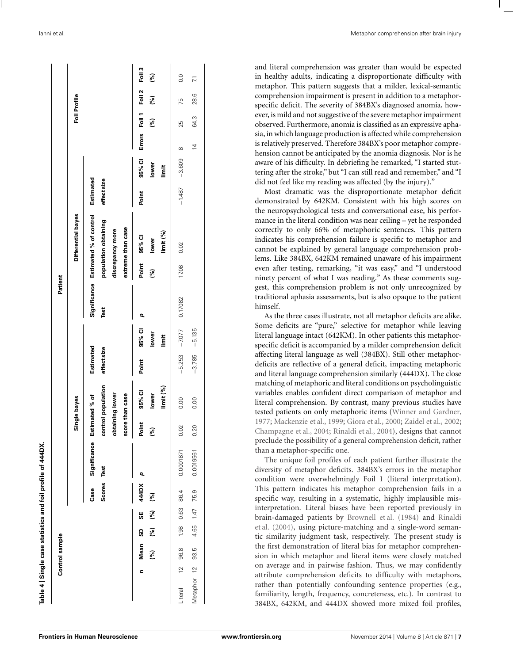| Control sample |                    |                                                                                         | Mean<br>[%]<br>Ξ |           | 96.8<br>$\tilde{c}$<br>Literal | Б<br>တ္တ<br>$\approx$<br>Metaphor |
|----------------|--------------------|-----------------------------------------------------------------------------------------|------------------|-----------|--------------------------------|-----------------------------------|
|                |                    |                                                                                         | ဌ<br>િ           |           | 1.98                           | 4.65                              |
|                |                    |                                                                                         | æ<br>ષ્ટિ        |           | 0.63                           | 1.47                              |
|                |                    | Scores<br>Case                                                                          | 444DX<br>જી      |           | 86.4                           | 75.9                              |
|                |                    | Significance<br>Test                                                                    | D,               |           | 0.0001871                      | 0.0019561                         |
|                | Single bayes       | control population<br>obtaining lower<br>score than case<br>stimated % of<br>шï         | Point<br>(%)     |           | $\mathcal{S}$<br>$\circ$       | 20<br>$\circ$                     |
|                |                    |                                                                                         | 95% CI<br>lower  | limit (%) | 0.00                           | 0.00                              |
|                |                    | Estimated<br>effect size                                                                | Point            |           | $-5.253$                       | $-3.785$                          |
|                |                    |                                                                                         | 95% Cl<br>lower  | İmit      | $-7077$                        | $-5.135$                          |
| Patient        |                    | Significance<br>Test                                                                    | p                |           | 0.17082                        |                                   |
|                |                    |                                                                                         | Point<br>(%)     |           | 17.08                          |                                   |
|                | Differential bayes | Estimated % of control<br>population obtaining<br>extreme than case<br>discrepancy more | 95% Cl<br>lower  | limit (%) | 0.02                           |                                   |
|                |                    | Estimated<br>effect size                                                                | Point            |           | $-1.487$                       |                                   |
|                |                    |                                                                                         | 95% Cl<br>lower  | limit     | $-3.609$                       |                                   |
|                |                    |                                                                                         | Errors           |           | $\infty$                       | $\overline{4}$                    |
|                | Foil Profile       |                                                                                         | Foil 1<br>(%)    |           | 25                             | 64.3                              |
|                |                    |                                                                                         | Foil 2<br>(%)    |           | 75                             | 28.6                              |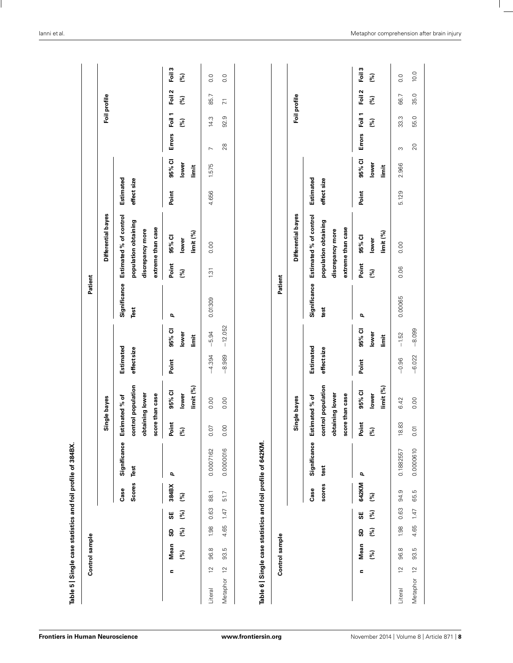<span id="page-7-0"></span>

|             |                | Control sample |          |           |                |                      |                                                      |                              |                          |                      |                      | Patient      |                                                                                         |                          |                         |                |               |                 |                          |
|-------------|----------------|----------------|----------|-----------|----------------|----------------------|------------------------------------------------------|------------------------------|--------------------------|----------------------|----------------------|--------------|-----------------------------------------------------------------------------------------|--------------------------|-------------------------|----------------|---------------|-----------------|--------------------------|
|             |                |                |          |           |                |                      |                                                      | Single bayes                 |                          |                      |                      |              | Differential bayes                                                                      |                          |                         |                |               | Foil profile    |                          |
|             |                |                |          |           | Scores<br>Case | Significance<br>Test | obtaining lower<br>score than case<br>Estimated % of | control population           | Estimated<br>effect size |                      | Significance<br>Test |              | Estimated % of control<br>population obtaining<br>extreme than case<br>discrepancy more | Estimated<br>effect size |                         |                |               |                 |                          |
|             | Ξ              | Mean<br>(%)    | (%)<br>ဌ | (%)<br>SΕ | 384BX<br>(%)   | p                    | Point<br>$\widetilde{\mathcal{S}}$                   | 95% Cl<br>lower              | Point                    | 95% CI<br>lower      | p                    | Point<br>(%) | 95% CI<br>lower                                                                         | Point                    | 95% Cl<br>lower         | Errors         | Foil 1<br>(%) | Foil 2<br>(%)   | Foil 3<br>(%)            |
| Literal     | $\overline{2}$ | 96.8           | 1.98     | 0.63      | 88.1           | 0.0007162            | CO.<br>o                                             | limit (%)<br>0.00            | $-4.394$                 | $-5.94$<br>İmit      | 0.01309              | 1.31         | limit (%)<br>0.00                                                                       | 4.656                    | 1.575<br>limit          | $\overline{ }$ | 14.3          | 85.7            | $\overline{0}$ .         |
| Metaphor    | $\overline{c}$ | ΓŨ,<br>93.     | 4.65     | 1.47      | 51.7           | 0.0000016            | $\overline{S}$                                       | 0.00                         | $-8.989$                 | $-12.052$            |                      |              |                                                                                         |                          |                         | 28             | 92.9          | $\overline{71}$ | 0.0                      |
|             |                | Control sample |          |           |                |                      |                                                      |                              |                          |                      | Patient              |              |                                                                                         |                          |                         |                |               |                 |                          |
|             |                |                |          |           |                |                      |                                                      | Single bayes                 |                          |                      |                      |              | Differential bayes                                                                      |                          |                         |                |               | Foil profile    |                          |
|             |                |                |          |           | scores<br>Case | Significance<br>test | obtaining lower<br>score than case<br>Estimated % of | control population           | Estimated<br>effect size |                      | Significance<br>test |              | Estimated % of control<br>population obtaining<br>extreme than case<br>discrepancy more | Estimated<br>effect size |                         |                |               |                 |                          |
|             | Ξ              | Mean<br>(%)    | (%)<br>ဌ | (%)<br>æ  | 642KM<br>(%)   | p                    | Point<br>(%)                                         | limit (%)<br>95% CI<br>lower | Point                    | 95% CI<br>lower<br>İ | p                    | Point<br>(%) | limit (%)<br>95% Cl<br>lower                                                            | Point                    | 95% Cl<br>lower<br>İmit | <b>Errors</b>  | Foil 1<br>(%) | Foil 2<br>(%)   | Foil <sup>3</sup><br>(%) |
| Literal     | $\overline{c}$ | 96.8           | 1.98     | 0.63      | 94.9           | 0.1882557            | 18.83                                                | 6.42                         | $-0.96$                  | $-1.52$              | 0.00065              | 0.06         | 0.00                                                                                    | 5.129                    | 2.966                   | S              | 33.3          | 66.7            | 0.0                      |
| Metaphor 12 |                | 93.5           | 4.65     | 1.47      | 65.5           | 0.0000610            | 0.01                                                 | 0.00                         | $-6.022$                 | $-8.099$             |                      |              |                                                                                         |                          |                         | 20             | 55.0          | 35.0            | 10.0                     |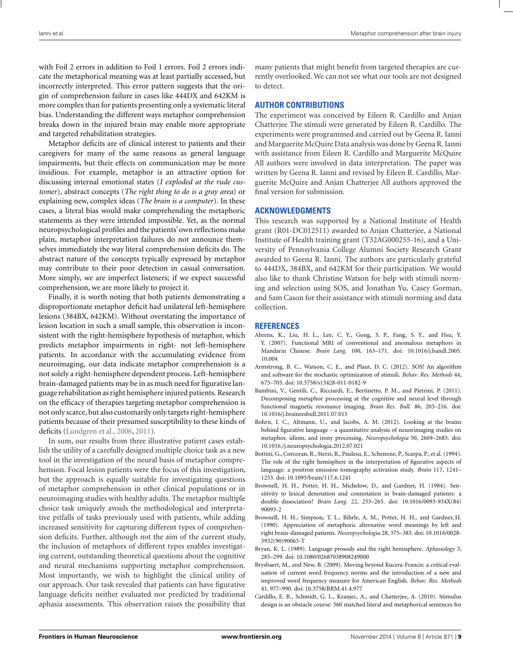<span id="page-8-0"></span>with Foil 2 errors in addition to Foil 1 errors. Foil 2 errors indicate the metaphorical meaning was at least partially accessed, but incorrectly interpreted. This error pattern suggests that the origin of comprehension failure in cases like 444DX and 642KM is more complex than for patients presenting only a systematic literal bias. Understanding the different ways metaphor comprehension breaks down in the injured brain may enable more appropriate and targeted rehabilitation strategies.

Metaphor deficits are of clinical interest to patients and their caregivers for many of the same reasons as general language impairments, but their effects on communication may be more insidious. For example, metaphor is an attractive option for discussing internal emotional states (*I exploded at the rude customer*), abstract concepts (*The right thing to do is a gray area*) or explaining new, complex ideas (*The brain is a computer*). In these cases, a literal bias would make comprehending the metaphoric statements as they were intended impossible. Yet, as the normal neuropsychological profiles and the patients' own reflections make plain, metaphor interpretation failures do not announce themselves immediately the way literal comprehension deficits do. The abstract nature of the concepts typically expressed by metaphor may contribute to their poor detection in casual conversation. More simply, we are imperfect listeners; if we expect successful comprehension, we are more likely to project it.

Finally, it is worth noting that both patients demonstrating a disproportionate metaphor deficit had unilateral left-hemisphere lesions (384BX, 642KM). Without overstating the importance of lesion location in such a small sample, this observation is inconsistent with the right-hemisphere hypothesis of metaphor, which predicts metaphor impairments in right- not left-hemisphere patients. In accordance with the accumulating evidence from neuroimaging, our data indicate metaphor comprehension is a not solely a right-hemisphere dependent process. Left-hemisphere brain-damaged patients may be in as much need for figurative language rehabilitation as right hemisphere injured patients. Research on the efficacy of therapies targeting metaphor comprehension is not only scarce, but also customarily only targets right-hemisphere patients because of their presumed susceptibility to these kinds of deficits [\(Lundgren et al.](#page-9-0), [2006,](#page-9-0) [2011\)](#page-9-0).

In sum, our results from three illustrative patient cases establish the utility of a carefully designed multiple choice task as a new tool in the investigation of the neural basis of metaphor comprehension. Focal lesion patients were the focus of this investigation, but the approach is equally suitable for investigating questions of metaphor comprehension in other clinical populations or in neuroimaging studies with healthy adults. The metaphor multiple choice task uniquely avoids the methodological and interpretative pitfalls of tasks previously used with patients, while adding increased sensitivity for capturing different types of comprehension deficits. Further, although not the aim of the current study, the inclusion of metaphors of different types enables investigating current, outstanding theoretical questions about the cognitive and neural mechanisms supporting metaphor comprehension. Most importantly, we wish to highlight the clinical utility of our approach. Our task revealed that patients can have figurative language deficits neither evaluated nor predicted by traditional aphasia assessments. This observation raises the possibility that many patients that might benefit from targeted therapies are currently overlooked. We can not see what our tools are not designed to detect.

# **AUTHOR CONTRIBUTIONS**

The experiment was conceived by Eileen R. Cardillo and Anjan Chatterjee The stimuli were generated by Eileen R. Cardillo. The experiments were programmed and carried out by Geena R. Ianni and Marguerite McQuire Data analysis was done by Geena R. Ianni with assistance from Eileen R. Cardillo and Marguerite McQuire All authors were involved in data interpretation. The paper was written by Geena R. Ianni and revised by Eileen R. Cardillo, Marguerite McQuire and Anjan Chatterjee All authors approved the final version for submission.

## **ACKNOWLEDGMENTS**

This research was supported by a National Institute of Health grant (R01-DC012511) awarded to Anjan Chatterjee, a National Institute of Health training grant (T32AG000255-16), and a University of Pennsylvania College Alumni Society Research Grant awarded to Geena R. Ianni. The authors are particularly grateful to 444DX, 384BX, and 642KM for their participation. We would also like to thank Christine Watson for help with stimuli norming and selection using SOS, and Jonathan Yu, Casey Gorman, and Sam Cason for their assistance with stimuli norming and data collection.

#### **REFERENCES**

- Ahrens, K., Liu, H. L., Lee, C. Y., Gong, S. P., Fang, S. Y., and Hsu, Y. Y. (2007). Functional MRI of conventional and anomalous metaphors in Mandarin Chinese. *Brain Lang.* 100, 163–171. doi: 10.1016/j.bandl.2005. 10.004
- Armstrong, B. C., Watson, C. E., and Plaut, D. C. (2012). SOS! An algorithm and software for the stochastic optimization of stimuli. *Behav. Res. Methods* 44, 675–705. doi: 10.3758/s13428-011-0182-9
- Bambini, V., Gentili, C., Ricciardi, E., Bertinetto, P. M., and Pietrini, P. (2011). Decomposing metaphor processing at the cognitive and neural level through functional magnetic resonance imaging. *Brain Res. Bull.* 86, 203–216. doi: 10.1016/j.brainresbull.2011.07.015
- Bohrn, I. C., Altmann, U., and Jacobs, A. M. (2012). Looking at the brains behind figurative language – a quantitative analysis of neuorimaging studies on metaphor, idiom, and irony processing. *Neuropsychologia* 50, 2669–2683. doi: 10.1016./j.neuropsychologia.2012.07.021
- Bottini, G., Corcoran, R., Sterzi, R., Paulesu, E., Schenone, P., Scarpa, P., et al. (1994). The role of the right hemisphere in the interpretation of figurative aspects of language: a positron emission tomography activation study. *Brain* 117, 1241– 1253. doi: 10.1093/brain/117.6.1241
- Brownell, H. H., Potter, H. H., Michelow, D., and Gardner, H. (1984). Sensitivity to lexical denotation and connotation in brain-damaged patients: a double dissociation? *Brain Lang.* 22, 253–265. doi: 10.1016/0093-934X(84) 90093-2
- Brownell, H. H., Simpson, T. L., Bihrle, A. M., Potter, H. H., and Gardner, H. (1990). Appreciation of metaphoric alternative word meanings by left and right brain-damaged patients. *Neuropsychologia* 28, 375–383. doi: 10.1016/0028- 3932(90)90063-T
- Bryan, K. L. (1989). Language prosody and the right hemisphere. *Aphasiology* 3, 285–299. doi: 10.1080/02687038908249000
- Brysbaert, M., and New, B. (2009). Moving beyond Kucera-Francis: a critical evaluation of current word frequency norms and the introduction of a new and improved word frequency measure for American English. *Behav. Res. Methods* 41, 977–990. doi: 10.3758/BRM.41.4.977
- Cardillo, E. R., Schmidt, G. L., Kranjec, A., and Chatterjee, A. (2010). Stimulus design is an obstacle course: 560 matched literal and metaphorical sentences for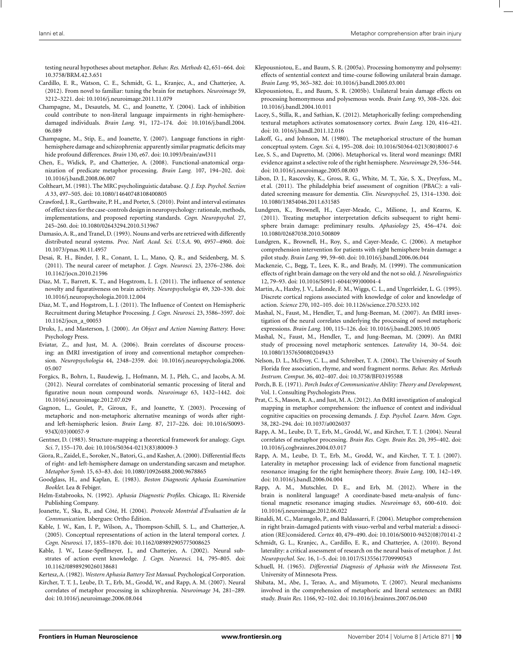<span id="page-9-0"></span>testing neural hypotheses about metaphor. *Behav. Res. Methods* 42, 651–664. doi: 10.3758/BRM.42.3.651

- Cardillo, E. R., Watson, C. E., Schmidt, G. L., Kranjec, A., and Chatterjee, A. (2012). From novel to familiar: tuning the brain for metaphors. *Neuroimage* 59, 3212–3221. doi: 10.1016/j.neuroimage.2011.11.079
- Champagne, M., Desautels, M. C., and Joanette, Y. (2004). Lack of inhibition could contribute to non-literal language impairments in right-hemispheredamaged individuals. *Brain Lang.* 91, 172–174. doi: 10.1016/j.bandl.2004. 06.089
- Champagne, M., Stip, E., and Joanette, Y. (2007). Language functions in righthemisphere damage and schizophrenia: apparently similar pragmatic deficits may hide profound differences. *Brain* 130, e67. doi: 10.1093/brain/awl311
- Chen, E., Widick, P., and Chatterjee, A. (2008). Functional-anatomical organization of predicate metaphor processing. *Brain Lang.* 107, 194–202. doi: 10.1016/j.bandl.2008.06.007
- Coltheart, M. (1981). The MRC psycholinguistic database. *Q. J. Exp. Psychol. Section A* 33, 497–505. doi: 10.1080/14640748108400805
- Crawford, J. R., Garthwaite, P. H., and Porter, S. (2010). Point and interval estimates of effect sizes for the case-controls design in neuropsychology: rationale, methods, implementations, and proposed reporting standards. *Cogn. Neuropsychol.* 27, 245–260. doi: 10.1080/02643294.2010.513967
- Damasio, A. R., and Tranel, D. (1993). Nouns and verbs are retrieved with differently distributed neural systems. *Proc. Natl. Acad. Sci. U.S.A.* 90, 4957–4960. doi: 10.1073/pnas.90.11.4957
- Desai, R. H., Binder, J. R., Conant, L. L., Mano, Q. R., and Seidenberg, M. S. (2011). The neural career of metaphor. *J. Cogn. Neurosci.* 23, 2376–2386. doi: 10.1162/jocn.2010.21596
- Diaz, M. T., Barrett, K. T., and Hogstrom, L. J. (2011). The influence of sentence novelty and figurativeness on brain activity. *Neuropsychologia* 49, 320–330. doi: 10.1016/j.neuropsychologia.2010.12.004
- Diaz, M. T., and Hogstrom, L. J. (2011). The Influence of Context on Hemispheric Recruitment during Metaphor Processing. *J. Cogn. Neurosci.* 23, 3586–3597. doi: 10.1162/jocn\_a\_00053
- Druks, J., and Masterson, J. (2000). *An Object and Action Naming Battery.* Hove: Psychology Press.
- Eviatar, Z., and Just, M. A. (2006). Brain correlates of discourse processing: an fMRI investigation of irony and conventional metaphor comprehension. *Neuropsychologia* 44, 2348–2359. doi: 10.1016/j.neuropsychologia.2006. 05.007
- Forgács, B., Bohrn, I., Baudewig, J., Hofmann, M. J., Pléh, C., and Jacobs, A. M. (2012). Neural correlates of combinatorial semantic processing of literal and figurative noun noun compound words. *Neuroimage* 63, 1432–1442. doi: 10.1016/j.neuroimage.2012.07.029
- Gagnon, L., Goulet, P., Giroux, F., and Joanette, Y. (2003). Processing of metaphoric and non-metaphoric alternative meanings of words after rightand left-hemispheric lesion. *Brain Lang.* 87, 217–226. doi: 10.1016/S0093- 934X(03)00057-9
- Gentner, D. (1983). Structure-mapping: a theoretical framework for analogy. *Cogn. Sci.* 7, 155–170. doi: 10.1016/S0364-0213(83)80009-3
- Giora, R., Zaidel, E., Soroker, N., Batori, G., and Kasher, A. (2000). Differential ffects of right- and left-hemisphere damage on understanding sarcasm and metaphor. *Metaphor Symb.* 15, 63–83. doi: 10.1080/10926488.2000.9678865
- Goodglass, H., and Kaplan, E. (1983). *Boston Diagnostic Aphasia Examination Booklet*. Lea & Febiger.
- Helm-Estabrooks, N. (1992). *Aphasia Diagnostic Profiles*. Chicago, IL: Riverside Publishing Company.
- Joanette, Y., Ska, B., and Côté, H. (2004). *Protocole Montréal d'Évaluation de la Communication.* Isbergues: Ortho Édition.
- Kable, J. W., Kan, I. P., Wilson, A., Thompson-Schill, S. L., and Chatterjee, A. (2005). Conceptual representations of action in the lateral temporal cortex. *J. Cogn. Neurosci.* 17, 1855–1870. doi: 10.1162/089892905775008625
- Kable, J. W., Lease-Spellmeyer, J., and Chatterjee, A. (2002). Neural substrates of action event knowledge. *J. Cogn. Neurosci.* 14, 795–805. doi: 10.1162/08989290260138681

Kertesz, A. (1982). *Western Aphasia Battery Test Manual*. Psychological Corporation.

Kircher, T. T. J., Leube, D. T., Erb, M., Grodd, W., and Rapp, A. M. (2007). Neural correlates of metaphor processing in schizophrenia. *Neuroimage* 34, 281–289. doi: 10.1016/j.neuroimage.2006.08.044

- Klepousniotou, E., and Baum, S. R. (2005a). Processing homonymy and polysemy: effects of sentential context and time-course following unilateral brain damage. *Brain Lang.* 95, 365–382. doi: 10.1016/j.bandl.2005.03.001
- Klepousniotou, E., and Baum, S. R. (2005b). Unilateral brain damage effects on processing homonymous and polysemous words. *Brain Lang.* 93, 308–326. doi: 10.1016/j.bandl.2004.10.011
- Lacey, S., Stilla, R., and Sathian, K. (2012). Metaphorically feeling: comprehending textural metaphors activates somatosensory cortex. *Brain Lang.* 120, 416–421. doi: 10. 1016/j.bandl.2011.12.016
- Lakoff, G., and Johnson, M. (1980). The metaphorical structure of the human conceptual system. *Cogn. Sci.* 4, 195–208. doi: 10.1016/S0364-0213(80)80017-6
- Lee, S. S., and Dapretto, M. (2006). Metaphorical vs. literal word meanings: fMRI evidence against a selective role of the right hemisphere*. Neuroimage* 29, 536–544. doi: 10.1016/j.neuroimage.2005.08.003
- Libon, D. J., Rascovsky, K., Gross, R. G., White, M. T., Xie, S. X., Dreyfuss, M., et al. (2011). The philadelphia brief assessment of cognition (PBAC): a validated screening measure for dementia. *Clin. Neuropsychol.* 25, 1314–1330. doi: 10.1080/13854046.2011.631585
- Lundgren, K., Brownell, H., Cayer-Meade, C., Milione, J., and Kearns, K. (2011). Treating metaphor interpretation deficits subsequent to right hemisphere brain damage: preliminary results. *Aphasiology* 25, 456–474. doi: 10.1080/02687038.2010.500809
- Lundgren, K., Brownell, H., Roy, S., and Cayer-Meade, C. (2006). A metaphor comprehension intervention for patients with right hemisphere brain damage: a pilot study. *Brain Lang.* 99, 59–60. doi: 10.1016/j.bandl.2006.06.044
- Mackenzie, C., Begg, T., Lees, K. R., and Brady, M. (1999). The communication effects of right brain damage on the very old and the not so old. *J. Neurolinguistics* 12, 79–93. doi: 10.1016/S0911-6044(99)00004-4
- Martin, A., Haxby, J. V., Lalonde, F. M., Wiggs, C. L., and Ungerleider, L. G. (1995). Discrete cortical regions associated with knowledge of color and knowledge of action. *Science* 270, 102–105. doi: 10.1126/science.270.5233.102
- Mashal, N., Faust, M., Hendler, T., and Jung-Beeman, M. (2007). An fMRI investigation of the neural correlates underlying the processing of novel metaphoric expressions. *Brain Lang.* 100, 115–126. doi: 10.1016/j.bandl.2005.10.005
- Mashal, N., Faust, M., Hendler, T., and Jung-Beeman, M. (2009). An fMRI study of processing novel metaphoric sentences. *Laterality* 14, 30–54. doi: 10.1080/13576500802049433
- Nelson, D. L., McEvoy, C. L., and Schreiber, T. A. (2004). The University of South Florida free association, rhyme, and word fragment norms. *Behav. Res. Methods Instrum. Comput.* 36, 402–407. doi: 10.3758/BF03195588
- Porch, B. E. (1971). *Porch Index of Communicative Ability: Theory and Development,* Vol. 1. Consulting Psychologists Press.
- Prat, C. S., Mason, R. A., and Just, M. A. (2012). An fMRI investigation of analogical mapping in metaphor comprehension: the influence of context and individual cognitive capacities on processing demands. *J. Exp. Psychol. Learn. Mem. Cogn.* 38, 282–294. doi: 10.1037/a0026037
- Rapp, A. M., Leube, D. T., Erb, M., Grodd, W., and Kircher, T. T. J. (2004). Neural correlates of metaphor processing. *Brain Res. Cogn. Brain Res.* 20, 395–402. doi: 10.1016/j.cogbrainres.2004.03.017
- Rapp, A. M., Leube, D. T., Erb, M., Grodd, W., and Kircher, T. T. J. (2007). Laterality in metaphor processing: lack of evidence from functional magnetic resonance imaging for the right hemisphere theory. *Brain Lang.* 100, 142–149. doi: 10.1016/j.bandl.2006.04.004
- Rapp, A. M., Mutschler, D. E., and Erb, M. (2012). Where in the brain is nonliteral language? A coordinate-based meta-analysis of functional magnetic resonance imaging studies. *Neuroimage* 63, 600–610. doi: 10.1016/j.neuroimage.2012.06.022
- Rinaldi, M. C., Marangolo, P., and Baldassarri, F. (2004). Metaphor comprehension in right brain-damaged patients with visuo-verbal and verbal material: a dissociation (RE)considered. *Cortex* 40, 479–490. doi: 10.1016/S0010-9452(08)70141-2
- Schmidt, G. L., Kranjec, A., Cardillo, E. R., and Chatterjee, A. (2010). Beyond laterality: a critical assessment of research on the neural basis of metaphor. *J. Int. Neuropsychol. Soc.* 16, 1–5. doi: 10.1017/S1355617709990543
- Schuell, H. (1965). *Differential Diagnosis of Aphasia with the Minnesota Test*. University of Minnesota Press.
- Shibata, M., Abe, J., Terao, A., and Miyamoto, T. (2007). Neural mechanisms involved in the comprehension of metaphoric and literal sentences: an fMRI study. *Brain Res.* 1166, 92–102. doi: 10.1016/j.brainres.2007.06.040